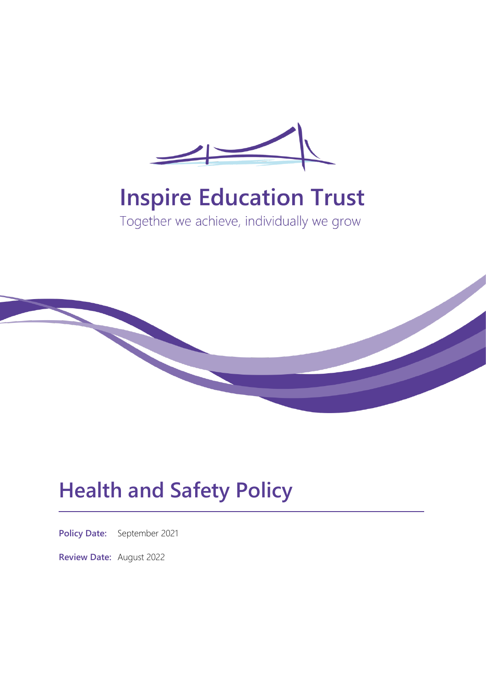

# **Inspire Education Trust**

Together we achieve, individually we grow



# **Health and Safety Policy**

**Policy Date:** September 2021

**Review Date:** August 2022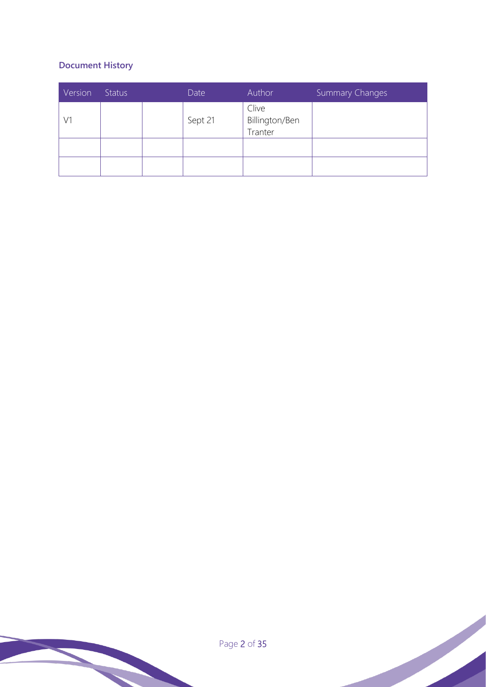# **Document History**

| Version | <b>Status</b> | Date    | Author                             | <b>Summary Changes</b> |
|---------|---------------|---------|------------------------------------|------------------------|
| V1      |               | Sept 21 | Clive<br>Billington/Ben<br>Tranter |                        |
|         |               |         |                                    |                        |
|         |               |         |                                    |                        |

Page 2 of 35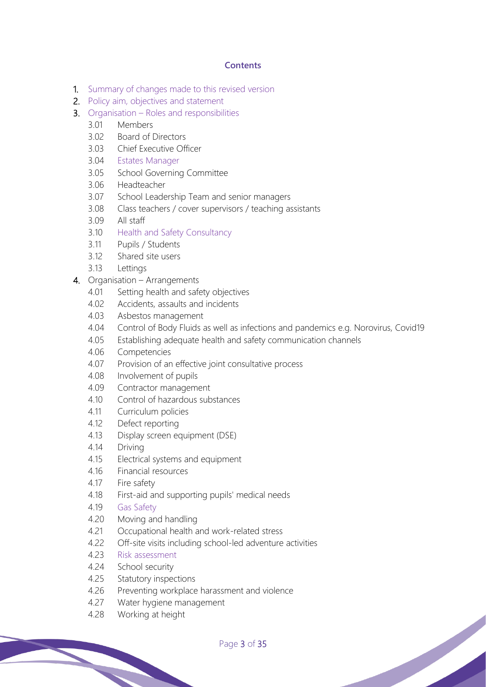# **Contents**

- 1. Summary of changes made to this revised version
- 2. Policy aim, objectives and statement
- 3. Organisation Roles and responsibilities
	- 3.01 Members
	- 3.02 Board of Directors
	- 3.03 Chief Executive Officer
	- 3.04 Estates Manager
	- 3.05 School Governing Committee
	- 3.06 Headteacher
	- 3.07 School Leadership Team and senior managers
	- 3.08 Class teachers / cover supervisors / teaching assistants
	- 3.09 All staff
	- 3.10 Health and Safety Consultancy
	- 3.11 Pupils / Students
	- 3.12 Shared site users
	- 3.13 Lettings
- 4. Organisation Arrangements
	- 4.01 Setting health and safety objectives
	- 4.02 Accidents, assaults and incidents
	- 4.03 Asbestos management
	- 4.04 Control of Body Fluids as well as infections and pandemics e.g. Norovirus, Covid19
	- 4.05 Establishing adequate health and safety communication channels
	- 4.06 Competencies
	- 4.07 Provision of an effective joint consultative process
	- 4.08 Involvement of pupils
	- 4.09 Contractor management
	- 4.10 Control of hazardous substances
	- 4.11 Curriculum policies
	- 4.12 Defect reporting
	- 4.13 Display screen equipment (DSE)
	- 4.14 Driving
	- 4.15 Electrical systems and equipment
	- 4.16 Financial resources
	- 4.17 Fire safety
	- 4.18 First-aid and supporting pupils' medical needs
	- 4.19 Gas Safety
	- 4.20 Moving and handling
	- 4.21 Occupational health and work-related stress
	- 4.22 Off-site visits including school-led adventure activities
	- 4.23 Risk assessment
	- 4.24 School security
	- 4.25 Statutory inspections
	- 4.26 Preventing workplace harassment and violence
	- 4.27 Water hygiene management
	- 4.28 Working at height

Page 3 of 35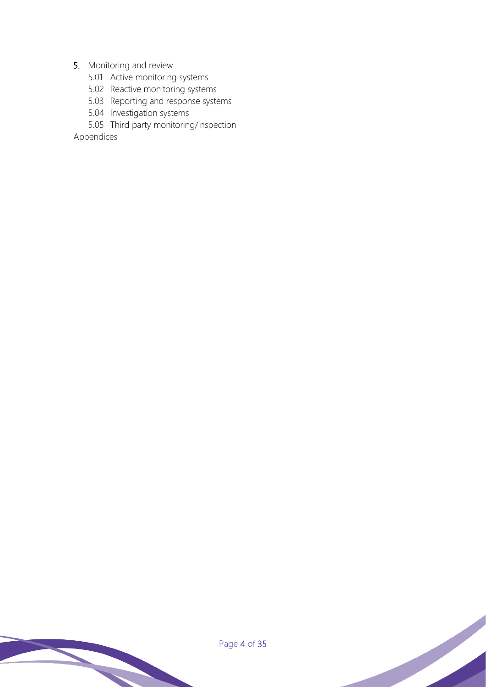# 5. Monitoring and review

- 5.01 Active monitoring systems
- 5.02 Reactive monitoring systems
- 5.03 Reporting and response systems
- 5.04 Investigation systems
- 5.05 Third party monitoring/inspection

Appendices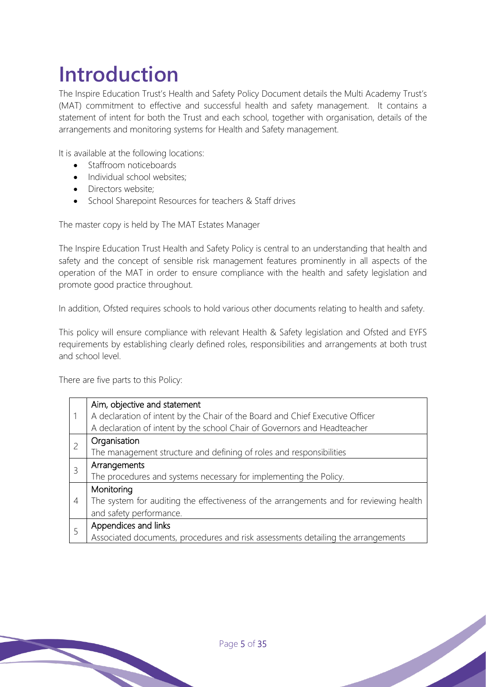# **Introduction**

The Inspire Education Trust's Health and Safety Policy Document details the Multi Academy Trust's (MAT) commitment to effective and successful health and safety management. It contains a statement of intent for both the Trust and each school, together with organisation, details of the arrangements and monitoring systems for Health and Safety management.

It is available at the following locations:

- Staffroom noticeboards
- Individual school websites:
- Directors website;
- School Sharepoint Resources for teachers & Staff drives

The master copy is held by The MAT Estates Manager

The Inspire Education Trust Health and Safety Policy is central to an understanding that health and safety and the concept of sensible risk management features prominently in all aspects of the operation of the MAT in order to ensure compliance with the health and safety legislation and promote good practice throughout.

In addition, Ofsted requires schools to hold various other documents relating to health and safety.

This policy will ensure compliance with relevant Health & Safety legislation and Ofsted and EYFS requirements by establishing clearly defined roles, responsibilities and arrangements at both trust and school level.

There are five parts to this Policy:

|                | Aim, objective and statement                                                           |  |  |  |  |
|----------------|----------------------------------------------------------------------------------------|--|--|--|--|
| 1              | A declaration of intent by the Chair of the Board and Chief Executive Officer          |  |  |  |  |
|                | A declaration of intent by the school Chair of Governors and Headteacher               |  |  |  |  |
| $\overline{c}$ | Organisation                                                                           |  |  |  |  |
|                | The management structure and defining of roles and responsibilities                    |  |  |  |  |
| 3              | Arrangements                                                                           |  |  |  |  |
|                | The procedures and systems necessary for implementing the Policy.                      |  |  |  |  |
| 4              | Monitoring                                                                             |  |  |  |  |
|                | The system for auditing the effectiveness of the arrangements and for reviewing health |  |  |  |  |
|                | and safety performance.                                                                |  |  |  |  |
| 5              | Appendices and links                                                                   |  |  |  |  |
|                | Associated documents, procedures and risk assessments detailing the arrangements       |  |  |  |  |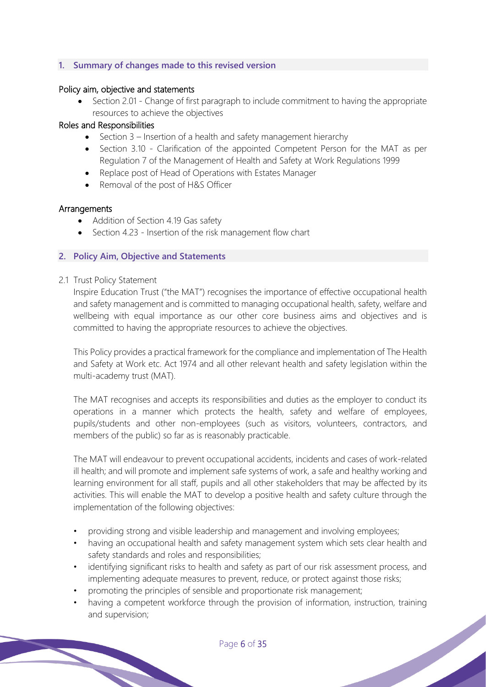# **1. Summary of changes made to this revised version**

#### Policy aim, objective and statements

• Section 2.01 - Change of first paragraph to include commitment to having the appropriate resources to achieve the objectives

#### Roles and Responsibilities

- Section 3 Insertion of a health and safety management hierarchy
- Section 3.10 Clarification of the appointed Competent Person for the MAT as per Regulation 7 of the Management of Health and Safety at Work Regulations 1999
- Replace post of Head of Operations with Estates Manager
- Removal of the post of H&S Officer

#### Arrangements

- Addition of Section 4.19 Gas safety
- Section 4.23 Insertion of the risk management flow chart

#### **2. Policy Aim, Objective and Statements**

#### 2.1 Trust Policy Statement

Inspire Education Trust ("the MAT") recognises the importance of effective occupational health and safety management and is committed to managing occupational health, safety, welfare and wellbeing with equal importance as our other core business aims and objectives and is committed to having the appropriate resources to achieve the objectives.

This Policy provides a practical framework for the compliance and implementation of The Health and Safety at Work etc. Act 1974 and all other relevant health and safety legislation within the multi-academy trust (MAT).

The MAT recognises and accepts its responsibilities and duties as the employer to conduct its operations in a manner which protects the health, safety and welfare of employees, pupils/students and other non-employees (such as visitors, volunteers, contractors, and members of the public) so far as is reasonably practicable.

The MAT will endeavour to prevent occupational accidents, incidents and cases of work-related ill health; and will promote and implement safe systems of work, a safe and healthy working and learning environment for all staff, pupils and all other stakeholders that may be affected by its activities. This will enable the MAT to develop a positive health and safety culture through the implementation of the following objectives:

- providing strong and visible leadership and management and involving employees;
- having an occupational health and safety management system which sets clear health and safety standards and roles and responsibilities;
- identifying significant risks to health and safety as part of our risk assessment process, and implementing adequate measures to prevent, reduce, or protect against those risks;
- promoting the principles of sensible and proportionate risk management;
- having a competent workforce through the provision of information, instruction, training and supervision;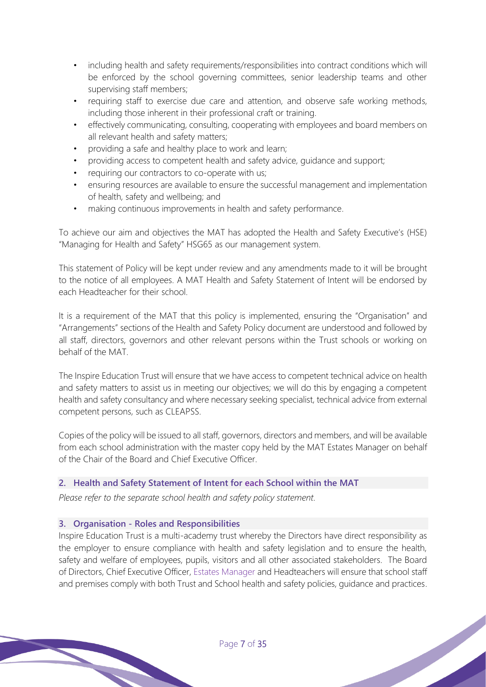- including health and safety requirements/responsibilities into contract conditions which will be enforced by the school governing committees, senior leadership teams and other supervising staff members;
- requiring staff to exercise due care and attention, and observe safe working methods, including those inherent in their professional craft or training.
- effectively communicating, consulting, cooperating with employees and board members on all relevant health and safety matters;
- providing a safe and healthy place to work and learn;
- providing access to competent health and safety advice, guidance and support;
- requiring our contractors to co-operate with us;
- ensuring resources are available to ensure the successful management and implementation of health, safety and wellbeing; and
- making continuous improvements in health and safety performance.

To achieve our aim and objectives the MAT has adopted the Health and Safety Executive's (HSE) "Managing for Health and Safety" HSG65 as our management system.

This statement of Policy will be kept under review and any amendments made to it will be brought to the notice of all employees. A MAT Health and Safety Statement of Intent will be endorsed by each Headteacher for their school.

It is a requirement of the MAT that this policy is implemented, ensuring the "Organisation" and "Arrangements" sections of the Health and Safety Policy document are understood and followed by all staff, directors, governors and other relevant persons within the Trust schools or working on behalf of the MAT.

The Inspire Education Trust will ensure that we have access to competent technical advice on health and safety matters to assist us in meeting our objectives; we will do this by engaging a competent health and safety consultancy and where necessary seeking specialist, technical advice from external competent persons, such as CLEAPSS.

Copies of the policy will be issued to all staff, governors, directors and members, and will be available from each school administration with the master copy held by the MAT Estates Manager on behalf of the Chair of the Board and Chief Executive Officer.

# **2. Health and Safety Statement of Intent for each School within the MAT**

*Please refer to the separate school health and safety policy statement.*

# **3. Organisation - Roles and Responsibilities**

Inspire Education Trust is a multi-academy trust whereby the Directors have direct responsibility as the employer to ensure compliance with health and safety legislation and to ensure the health, safety and welfare of employees, pupils, visitors and all other associated stakeholders. The Board of Directors, Chief Executive Officer, Estates Manager and Headteachers will ensure that school staff and premises comply with both Trust and School health and safety policies, guidance and practices.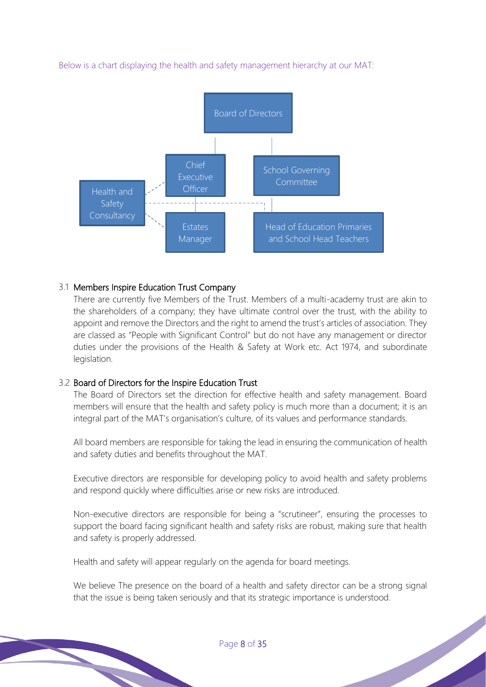Below is a chart displaying the health and safety management hierarchy at our MAT:



# 3.1 Members Inspire Education Trust Company

There are currently five Members of the Trust. Members of a multi-academy trust are akin to the shareholders of a company; they have ultimate control over the trust, with the ability to appoint and remove the Directors and the right to amend the trust's articles of association. They are classed as "People with Significant Control" but do not have any management or director duties under the provisions of the Health & Safety at Work etc. Act 1974, and subordinate legislation.

# 3.2 Board of Directors for the Inspire Education Trust

The Board of Directors set the direction for effective health and safety management. Board members will ensure that the health and safety policy is much more than a document; it is an integral part of the MAT's organisation's culture, of its values and performance standards.

All board members are responsible for taking the lead in ensuring the communication of health and safety duties and benefits throughout the MAT.

Executive directors are responsible for developing policy to avoid health and safety problems and respond quickly where difficulties arise or new risks are introduced.

Non-executive directors are responsible for being a "scrutineer", ensuring the processes to support the board facing significant health and safety risks are robust, making sure that health and safety is properly addressed.

Health and safety will appear regularly on the agenda for board meetings.

We believe The presence on the board of a health and safety director can be a strong signal that the issue is being taken seriously and that its strategic importance is understood.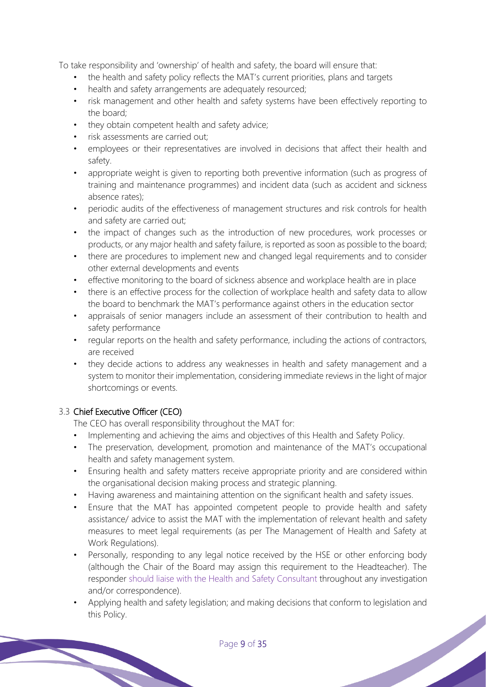To take responsibility and 'ownership' of health and safety, the board will ensure that:

- the health and safety policy reflects the MAT's current priorities, plans and targets
- health and safety arrangements are adequately resourced;
- risk management and other health and safety systems have been effectively reporting to the board;
- they obtain competent health and safety advice;
- risk assessments are carried out;
- employees or their representatives are involved in decisions that affect their health and safety.
- appropriate weight is given to reporting both preventive information (such as progress of training and maintenance programmes) and incident data (such as accident and sickness absence rates);
- periodic audits of the effectiveness of management structures and risk controls for health and safety are carried out;
- the impact of changes such as the introduction of new procedures, work processes or products, or any major health and safety failure, is reported as soon as possible to the board;
- there are procedures to implement new and changed legal requirements and to consider other external developments and events
- effective monitoring to the board of sickness absence and workplace health are in place
- there is an effective process for the collection of workplace health and safety data to allow the board to benchmark the MAT's performance against others in the education sector
- appraisals of senior managers include an assessment of their contribution to health and safety performance
- regular reports on the health and safety performance, including the actions of contractors, are received
- they decide actions to address any weaknesses in health and safety management and a system to monitor their implementation, considering immediate reviews in the light of major shortcomings or events.

# 3.3 Chief Executive Officer (CEO)

The CEO has overall responsibility throughout the MAT for:

- Implementing and achieving the aims and objectives of this Health and Safety Policy.
- The preservation, development, promotion and maintenance of the MAT's occupational health and safety management system.
- Ensuring health and safety matters receive appropriate priority and are considered within the organisational decision making process and strategic planning.
- Having awareness and maintaining attention on the significant health and safety issues.
- Ensure that the MAT has appointed competent people to provide health and safety assistance/ advice to assist the MAT with the implementation of relevant health and safety measures to meet legal requirements (as per The Management of Health and Safety at Work Regulations).
- Personally, responding to any legal notice received by the HSE or other enforcing body (although the Chair of the Board may assign this requirement to the Headteacher). The responder should liaise with the Health and Safety Consultant throughout any investigation and/or correspondence).
- Applying health and safety legislation; and making decisions that conform to legislation and this Policy.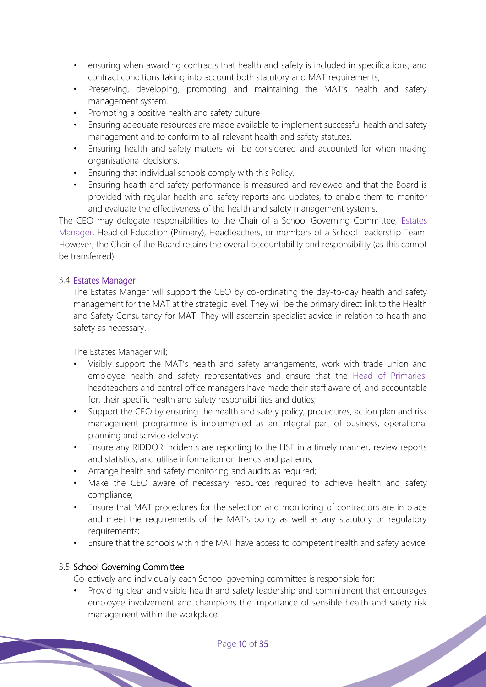- ensuring when awarding contracts that health and safety is included in specifications; and contract conditions taking into account both statutory and MAT requirements;
- Preserving, developing, promoting and maintaining the MAT's health and safety management system.
- Promoting a positive health and safety culture
- Ensuring adequate resources are made available to implement successful health and safety management and to conform to all relevant health and safety statutes.
- Ensuring health and safety matters will be considered and accounted for when making organisational decisions.
- Ensuring that individual schools comply with this Policy.
- Ensuring health and safety performance is measured and reviewed and that the Board is provided with regular health and safety reports and updates, to enable them to monitor and evaluate the effectiveness of the health and safety management systems.

The CEO may delegate responsibilities to the Chair of a School Governing Committee, Estates Manager, Head of Education (Primary), Headteachers, or members of a School Leadership Team. However, the Chair of the Board retains the overall accountability and responsibility (as this cannot be transferred).

# 3.4 Estates Manager

The Estates Manger will support the CEO by co-ordinating the day-to-day health and safety management for the MAT at the strategic level. They will be the primary direct link to the Health and Safety Consultancy for MAT. They will ascertain specialist advice in relation to health and safety as necessary.

The Estates Manager will;

- Visibly support the MAT's health and safety arrangements, work with trade union and employee health and safety representatives and ensure that the Head of Primaries, headteachers and central office managers have made their staff aware of, and accountable for, their specific health and safety responsibilities and duties;
- Support the CEO by ensuring the health and safety policy, procedures, action plan and risk management programme is implemented as an integral part of business, operational planning and service delivery;
- Ensure any RIDDOR incidents are reporting to the HSE in a timely manner, review reports and statistics, and utilise information on trends and patterns;
- Arrange health and safety monitoring and audits as required;
- Make the CEO aware of necessary resources required to achieve health and safety compliance;
- Ensure that MAT procedures for the selection and monitoring of contractors are in place and meet the requirements of the MAT's policy as well as any statutory or regulatory requirements;
- Ensure that the schools within the MAT have access to competent health and safety advice.

# 3.5 School Governing Committee

Collectively and individually each School governing committee is responsible for:

• Providing clear and visible health and safety leadership and commitment that encourages employee involvement and champions the importance of sensible health and safety risk management within the workplace.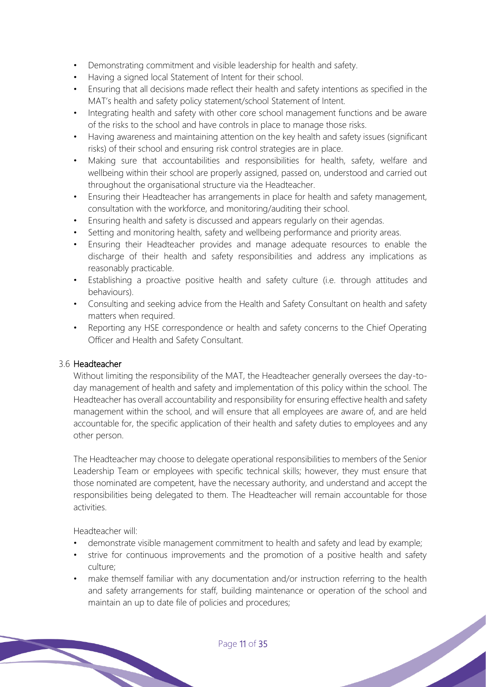- Demonstrating commitment and visible leadership for health and safety.
- Having a signed local Statement of Intent for their school.
- Ensuring that all decisions made reflect their health and safety intentions as specified in the MAT's health and safety policy statement/school Statement of Intent.
- Integrating health and safety with other core school management functions and be aware of the risks to the school and have controls in place to manage those risks.
- Having awareness and maintaining attention on the key health and safety issues (significant risks) of their school and ensuring risk control strategies are in place.
- Making sure that accountabilities and responsibilities for health, safety, welfare and wellbeing within their school are properly assigned, passed on, understood and carried out throughout the organisational structure via the Headteacher.
- Ensuring their Headteacher has arrangements in place for health and safety management, consultation with the workforce, and monitoring/auditing their school.
- Ensuring health and safety is discussed and appears regularly on their agendas.
- Setting and monitoring health, safety and wellbeing performance and priority areas.
- Ensuring their Headteacher provides and manage adequate resources to enable the discharge of their health and safety responsibilities and address any implications as reasonably practicable.
- Establishing a proactive positive health and safety culture (i.e. through attitudes and behaviours).
- Consulting and seeking advice from the Health and Safety Consultant on health and safety matters when required.
- Reporting any HSE correspondence or health and safety concerns to the Chief Operating Officer and Health and Safety Consultant.

# 3.6 Headteacher

Without limiting the responsibility of the MAT, the Headteacher generally oversees the day-today management of health and safety and implementation of this policy within the school. The Headteacher has overall accountability and responsibility for ensuring effective health and safety management within the school, and will ensure that all employees are aware of, and are held accountable for, the specific application of their health and safety duties to employees and any other person.

The Headteacher may choose to delegate operational responsibilities to members of the Senior Leadership Team or employees with specific technical skills; however, they must ensure that those nominated are competent, have the necessary authority, and understand and accept the responsibilities being delegated to them. The Headteacher will remain accountable for those activities.

Headteacher will:

- demonstrate visible management commitment to health and safety and lead by example;
- strive for continuous improvements and the promotion of a positive health and safety culture;
- make themself familiar with any documentation and/or instruction referring to the health and safety arrangements for staff, building maintenance or operation of the school and maintain an up to date file of policies and procedures;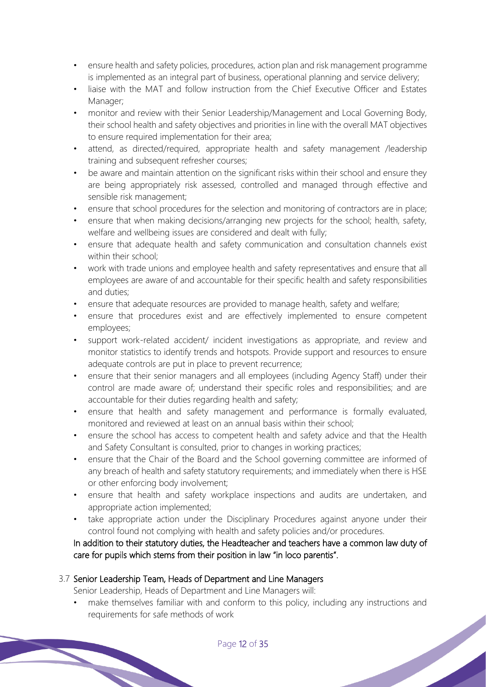- ensure health and safety policies, procedures, action plan and risk management programme is implemented as an integral part of business, operational planning and service delivery;
- liaise with the MAT and follow instruction from the Chief Executive Officer and Estates Manager:
- monitor and review with their Senior Leadership/Management and Local Governing Body, their school health and safety objectives and priorities in line with the overall MAT objectives to ensure required implementation for their area;
- attend, as directed/required, appropriate health and safety management /leadership training and subsequent refresher courses;
- be aware and maintain attention on the significant risks within their school and ensure they are being appropriately risk assessed, controlled and managed through effective and sensible risk management;
- ensure that school procedures for the selection and monitoring of contractors are in place;
- ensure that when making decisions/arranging new projects for the school; health, safety, welfare and wellbeing issues are considered and dealt with fully;
- ensure that adequate health and safety communication and consultation channels exist within their school;
- work with trade unions and employee health and safety representatives and ensure that all employees are aware of and accountable for their specific health and safety responsibilities and duties;
- ensure that adequate resources are provided to manage health, safety and welfare;
- ensure that procedures exist and are effectively implemented to ensure competent employees;
- support work-related accident/ incident investigations as appropriate, and review and monitor statistics to identify trends and hotspots. Provide support and resources to ensure adequate controls are put in place to prevent recurrence;
- ensure that their senior managers and all employees (including Agency Staff) under their control are made aware of; understand their specific roles and responsibilities; and are accountable for their duties regarding health and safety;
- ensure that health and safety management and performance is formally evaluated, monitored and reviewed at least on an annual basis within their school;
- ensure the school has access to competent health and safety advice and that the Health and Safety Consultant is consulted, prior to changes in working practices;
- ensure that the Chair of the Board and the School governing committee are informed of any breach of health and safety statutory requirements; and immediately when there is HSE or other enforcing body involvement;
- ensure that health and safety workplace inspections and audits are undertaken, and appropriate action implemented;
- take appropriate action under the Disciplinary Procedures against anyone under their control found not complying with health and safety policies and/or procedures.

# In addition to their statutory duties, the Headteacher and teachers have a common law duty of care for pupils which stems from their position in law "in loco parentis".

# 3.7 Senior Leadership Team, Heads of Department and Line Managers

Senior Leadership, Heads of Department and Line Managers will:

• make themselves familiar with and conform to this policy, including any instructions and requirements for safe methods of work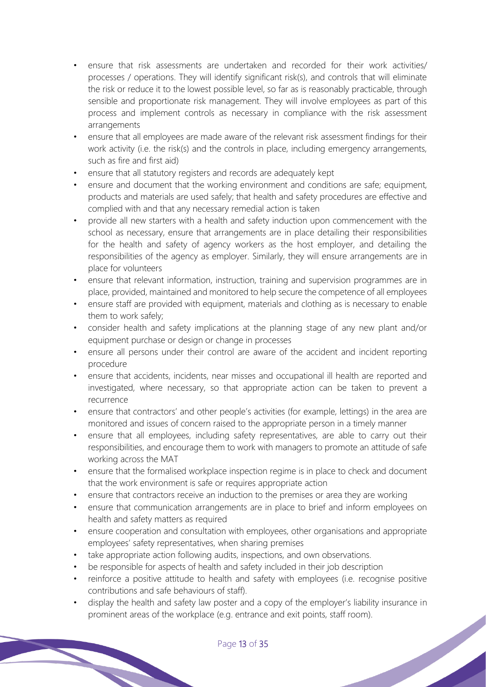- ensure that risk assessments are undertaken and recorded for their work activities/ processes / operations. They will identify significant risk(s), and controls that will eliminate the risk or reduce it to the lowest possible level, so far as is reasonably practicable, through sensible and proportionate risk management. They will involve employees as part of this process and implement controls as necessary in compliance with the risk assessment arrangements
- ensure that all employees are made aware of the relevant risk assessment findings for their work activity (i.e. the risk(s) and the controls in place, including emergency arrangements, such as fire and first aid)
- ensure that all statutory registers and records are adequately kept
- ensure and document that the working environment and conditions are safe; equipment, products and materials are used safely; that health and safety procedures are effective and complied with and that any necessary remedial action is taken
- provide all new starters with a health and safety induction upon commencement with the school as necessary, ensure that arrangements are in place detailing their responsibilities for the health and safety of agency workers as the host employer, and detailing the responsibilities of the agency as employer. Similarly, they will ensure arrangements are in place for volunteers
- ensure that relevant information, instruction, training and supervision programmes are in place, provided, maintained and monitored to help secure the competence of all employees
- ensure staff are provided with equipment, materials and clothing as is necessary to enable them to work safely;
- consider health and safety implications at the planning stage of any new plant and/or equipment purchase or design or change in processes
- ensure all persons under their control are aware of the accident and incident reporting procedure
- ensure that accidents, incidents, near misses and occupational ill health are reported and investigated, where necessary, so that appropriate action can be taken to prevent a recurrence
- ensure that contractors' and other people's activities (for example, lettings) in the area are monitored and issues of concern raised to the appropriate person in a timely manner
- ensure that all employees, including safety representatives, are able to carry out their responsibilities, and encourage them to work with managers to promote an attitude of safe working across the MAT
- ensure that the formalised workplace inspection regime is in place to check and document that the work environment is safe or requires appropriate action
- ensure that contractors receive an induction to the premises or area they are working
- ensure that communication arrangements are in place to brief and inform employees on health and safety matters as required
- ensure cooperation and consultation with employees, other organisations and appropriate employees' safety representatives, when sharing premises
- take appropriate action following audits, inspections, and own observations.
- be responsible for aspects of health and safety included in their job description
- reinforce a positive attitude to health and safety with employees (i.e. recognise positive contributions and safe behaviours of staff).
- display the health and safety law poster and a copy of the employer's liability insurance in prominent areas of the workplace (e.g. entrance and exit points, staff room).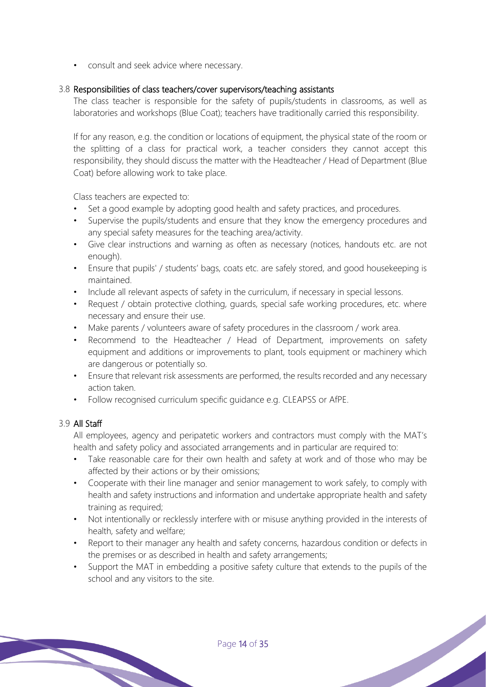• consult and seek advice where necessary.

### 3.8 Responsibilities of class teachers/cover supervisors/teaching assistants

The class teacher is responsible for the safety of pupils/students in classrooms, as well as laboratories and workshops (Blue Coat); teachers have traditionally carried this responsibility.

If for any reason, e.g. the condition or locations of equipment, the physical state of the room or the splitting of a class for practical work, a teacher considers they cannot accept this responsibility, they should discuss the matter with the Headteacher / Head of Department (Blue Coat) before allowing work to take place.

Class teachers are expected to:

- Set a good example by adopting good health and safety practices, and procedures.
- Supervise the pupils/students and ensure that they know the emergency procedures and any special safety measures for the teaching area/activity.
- Give clear instructions and warning as often as necessary (notices, handouts etc. are not enough).
- Ensure that pupils' / students' bags, coats etc. are safely stored, and good housekeeping is maintained.
- Include all relevant aspects of safety in the curriculum, if necessary in special lessons.
- Request / obtain protective clothing, quards, special safe working procedures, etc. where necessary and ensure their use.
- Make parents / volunteers aware of safety procedures in the classroom / work area.
- Recommend to the Headteacher / Head of Department, improvements on safety equipment and additions or improvements to plant, tools equipment or machinery which are dangerous or potentially so.
- Ensure that relevant risk assessments are performed, the results recorded and any necessary action taken.
- Follow recognised curriculum specific guidance e.g. CLEAPSS or AfPE.

# 3.9 All Staff

All employees, agency and peripatetic workers and contractors must comply with the MAT's health and safety policy and associated arrangements and in particular are required to:

- Take reasonable care for their own health and safety at work and of those who may be affected by their actions or by their omissions;
- Cooperate with their line manager and senior management to work safely, to comply with health and safety instructions and information and undertake appropriate health and safety training as required;
- Not intentionally or recklessly interfere with or misuse anything provided in the interests of health, safety and welfare;
- Report to their manager any health and safety concerns, hazardous condition or defects in the premises or as described in health and safety arrangements;
- Support the MAT in embedding a positive safety culture that extends to the pupils of the school and any visitors to the site.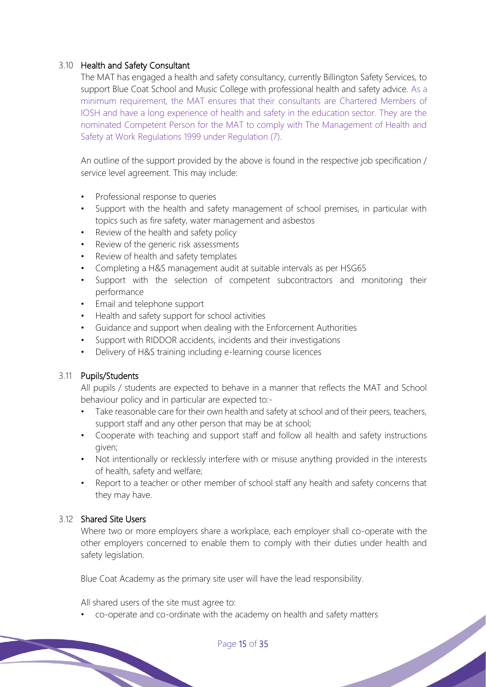### 3.10 Health and Safety Consultant

The MAT has engaged a health and safety consultancy, currently Billington Safety Services, to support Blue Coat School and Music College with professional health and safety advice. As a minimum requirement, the MAT ensures that their consultants are Chartered Members of IOSH and have a long experience of health and safety in the education sector. They are the nominated Competent Person for the MAT to comply with The Management of Health and Safety at Work Regulations 1999 under Regulation (7).

An outline of the support provided by the above is found in the respective job specification / service level agreement. This may include:

- Professional response to queries
- Support with the health and safety management of school premises, in particular with topics such as fire safety, water management and asbestos
- Review of the health and safety policy
- Review of the generic risk assessments
- Review of health and safety templates
- Completing a H&S management audit at suitable intervals as per HSG65
- Support with the selection of competent subcontractors and monitoring their performance
- Email and telephone support
- Health and safety support for school activities
- Guidance and support when dealing with the Enforcement Authorities
- Support with RIDDOR accidents, incidents and their investigations
- Delivery of H&S training including e-learning course licences

#### 3.11 Pupils/Students

All pupils / students are expected to behave in a manner that reflects the MAT and School behaviour policy and in particular are expected to:-

- Take reasonable care for their own health and safety at school and of their peers, teachers, support staff and any other person that may be at school;
- Cooperate with teaching and support staff and follow all health and safety instructions given;
- Not intentionally or recklessly interfere with or misuse anything provided in the interests of health, safety and welfare;
- Report to a teacher or other member of school staff any health and safety concerns that they may have.

#### 3.12 Shared Site Users

Where two or more employers share a workplace, each employer shall co-operate with the other employers concerned to enable them to comply with their duties under health and safety legislation.

Blue Coat Academy as the primary site user will have the lead responsibility.

All shared users of the site must agree to:

• co-operate and co-ordinate with the academy on health and safety matters

Page 15 of 35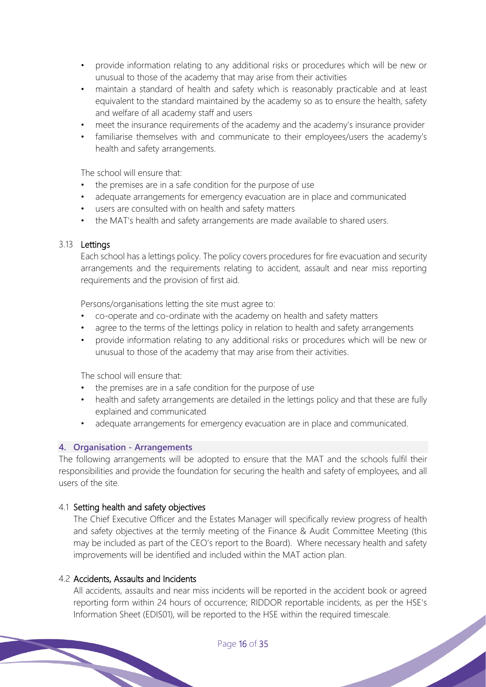- provide information relating to any additional risks or procedures which will be new or unusual to those of the academy that may arise from their activities
- maintain a standard of health and safety which is reasonably practicable and at least equivalent to the standard maintained by the academy so as to ensure the health, safety and welfare of all academy staff and users
- meet the insurance requirements of the academy and the academy's insurance provider
- familiarise themselves with and communicate to their employees/users the academy's health and safety arrangements.

The school will ensure that:

- the premises are in a safe condition for the purpose of use
- adequate arrangements for emergency evacuation are in place and communicated
- users are consulted with on health and safety matters
- the MAT's health and safety arrangements are made available to shared users.

#### 3.13 Lettings

Each school has a lettings policy. The policy covers procedures for fire evacuation and security arrangements and the requirements relating to accident, assault and near miss reporting requirements and the provision of first aid.

Persons/organisations letting the site must agree to:

- co-operate and co-ordinate with the academy on health and safety matters
- agree to the terms of the lettings policy in relation to health and safety arrangements
- provide information relating to any additional risks or procedures which will be new or unusual to those of the academy that may arise from their activities.

The school will ensure that:

- the premises are in a safe condition for the purpose of use
- health and safety arrangements are detailed in the lettings policy and that these are fully explained and communicated
- adequate arrangements for emergency evacuation are in place and communicated.

#### **4. Organisation - Arrangements**

The following arrangements will be adopted to ensure that the MAT and the schools fulfil their responsibilities and provide the foundation for securing the health and safety of employees, and all users of the site.

#### 4.1 Setting health and safety objectives

The Chief Executive Officer and the Estates Manager will specifically review progress of health and safety objectives at the termly meeting of the Finance & Audit Committee Meeting (this may be included as part of the CEO's report to the Board). Where necessary health and safety improvements will be identified and included within the MAT action plan.

#### 4.2 Accidents, Assaults and Incidents

All accidents, assaults and near miss incidents will be reported in the accident book or agreed reporting form within 24 hours of occurrence; RIDDOR reportable incidents, as per the HSE's Information Sheet (EDIS01), will be reported to the HSE within the required timescale.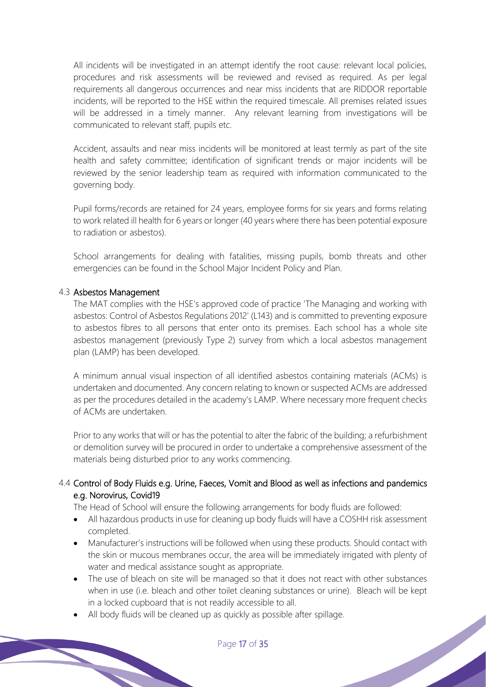All incidents will be investigated in an attempt identify the root cause: relevant local policies, procedures and risk assessments will be reviewed and revised as required. As per legal requirements all dangerous occurrences and near miss incidents that are RIDDOR reportable incidents, will be reported to the HSE within the required timescale. All premises related issues will be addressed in a timely manner. Any relevant learning from investigations will be communicated to relevant staff, pupils etc.

Accident, assaults and near miss incidents will be monitored at least termly as part of the site health and safety committee; identification of significant trends or major incidents will be reviewed by the senior leadership team as required with information communicated to the governing body.

Pupil forms/records are retained for 24 years, employee forms for six years and forms relating to work related ill health for 6 years or longer (40 years where there has been potential exposure to radiation or asbestos).

School arrangements for dealing with fatalities, missing pupils, bomb threats and other emergencies can be found in the School Major Incident Policy and Plan.

#### 4.3 Asbestos Management

The MAT complies with the HSE's approved code of practice 'The Managing and working with asbestos: Control of Asbestos Regulations 2012' (L143) and is committed to preventing exposure to asbestos fibres to all persons that enter onto its premises. Each school has a whole site asbestos management (previously Type 2) survey from which a local asbestos management plan (LAMP) has been developed.

A minimum annual visual inspection of all identified asbestos containing materials (ACMs) is undertaken and documented. Any concern relating to known or suspected ACMs are addressed as per the procedures detailed in the academy's LAMP. Where necessary more frequent checks of ACMs are undertaken.

Prior to any works that will or has the potential to alter the fabric of the building; a refurbishment or demolition survey will be procured in order to undertake a comprehensive assessment of the materials being disturbed prior to any works commencing.

# 4.4 Control of Body Fluids e.g. Urine, Faeces, Vomit and Blood as well as infections and pandemics e.g. Norovirus, Covid19

The Head of School will ensure the following arrangements for body fluids are followed:

- All hazardous products in use for cleaning up body fluids will have a COSHH risk assessment completed.
- Manufacturer's instructions will be followed when using these products. Should contact with the skin or mucous membranes occur, the area will be immediately irrigated with plenty of water and medical assistance sought as appropriate.
- The use of bleach on site will be managed so that it does not react with other substances when in use (i.e. bleach and other toilet cleaning substances or urine). Bleach will be kept in a locked cupboard that is not readily accessible to all.
- All body fluids will be cleaned up as quickly as possible after spillage.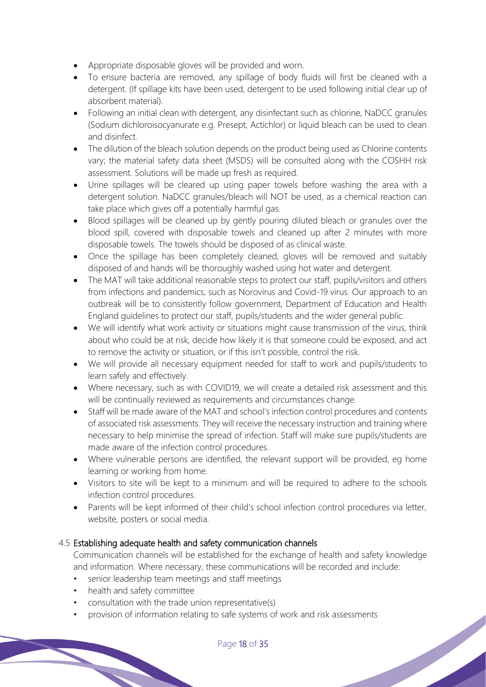- Appropriate disposable gloves will be provided and worn.
- To ensure bacteria are removed, any spillage of body fluids will first be cleaned with a detergent. (If spillage kits have been used, detergent to be used following initial clear up of absorbent material).
- Following an initial clean with detergent, any disinfectant such as chlorine, NaDCC granules (Sodium dichloroisocyanurate e.g. Presept, Actichlor) or liquid bleach can be used to clean and disinfect.
- The dilution of the bleach solution depends on the product being used as Chlorine contents vary; the material safety data sheet (MSDS) will be consulted along with the COSHH risk assessment. Solutions will be made up fresh as required.
- Urine spillages will be cleared up using paper towels before washing the area with a detergent solution. NaDCC granules/bleach will NOT be used, as a chemical reaction can take place which gives off a potentially harmful gas.
- Blood spillages will be cleaned up by gently pouring diluted bleach or granules over the blood spill, covered with disposable towels and cleaned up after 2 minutes with more disposable towels. The towels should be disposed of as clinical waste.
- Once the spillage has been completely cleaned, gloves will be removed and suitably disposed of and hands will be thoroughly washed using hot water and detergent.
- The MAT will take additional reasonable steps to protect our staff, pupils/visitors and others from infections and pandemics, such as Norovirus and Covid-19 virus. Our approach to an outbreak will be to consistently follow government, Department of Education and Health England guidelines to protect our staff, pupils/students and the wider general public.
- We will identify what work activity or situations might cause transmission of the virus, think about who could be at risk, decide how likely it is that someone could be exposed, and act to remove the activity or situation, or if this isn't possible, control the risk.
- We will provide all necessary equipment needed for staff to work and pupils/students to learn safely and effectively.
- Where necessary, such as with COVID19, we will create a detailed risk assessment and this will be continually reviewed as requirements and circumstances change.
- Staff will be made aware of the MAT and school's infection control procedures and contents of associated risk assessments. They will receive the necessary instruction and training where necessary to help minimise the spread of infection. Staff will make sure pupils/students are made aware of the infection control procedures.
- Where vulnerable persons are identified, the relevant support will be provided, eg home learning or working from home.
- Visitors to site will be kept to a minimum and will be required to adhere to the schools infection control procedures.
- Parents will be kept informed of their child's school infection control procedures via letter, website, posters or social media.

# 4.5 Establishing adequate health and safety communication channels

Communication channels will be established for the exchange of health and safety knowledge and information. Where necessary, these communications will be recorded and include:

- senior leadership team meetings and staff meetings
- health and safety committee
- consultation with the trade union representative(s)
- provision of information relating to safe systems of work and risk assessments

Page 18 of 35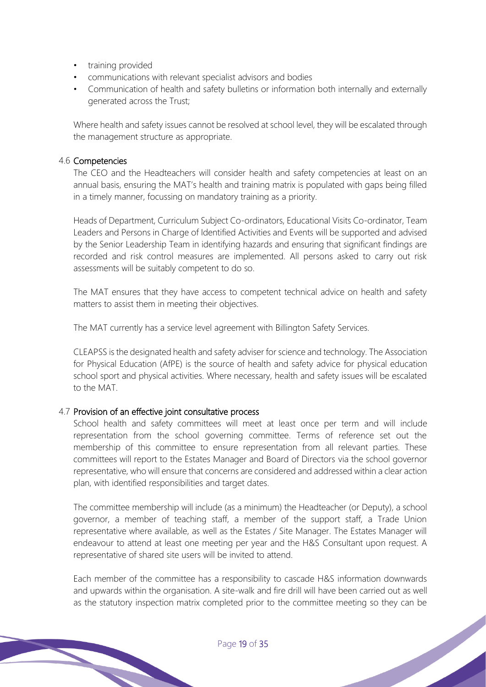- training provided
- communications with relevant specialist advisors and bodies
- Communication of health and safety bulletins or information both internally and externally generated across the Trust;

Where health and safety issues cannot be resolved at school level, they will be escalated through the management structure as appropriate.

#### 4.6 Competencies

The CEO and the Headteachers will consider health and safety competencies at least on an annual basis, ensuring the MAT's health and training matrix is populated with gaps being filled in a timely manner, focussing on mandatory training as a priority.

Heads of Department, Curriculum Subject Co-ordinators, Educational Visits Co-ordinator, Team Leaders and Persons in Charge of Identified Activities and Events will be supported and advised by the Senior Leadership Team in identifying hazards and ensuring that significant findings are recorded and risk control measures are implemented. All persons asked to carry out risk assessments will be suitably competent to do so.

The MAT ensures that they have access to competent technical advice on health and safety matters to assist them in meeting their objectives.

The MAT currently has a service level agreement with Billington Safety Services.

CLEAPSS is the designated health and safety adviser for science and technology. The Association for Physical Education (AfPE) is the source of health and safety advice for physical education school sport and physical activities. Where necessary, health and safety issues will be escalated to the MAT.

#### 4.7 Provision of an effective joint consultative process

School health and safety committees will meet at least once per term and will include representation from the school governing committee. Terms of reference set out the membership of this committee to ensure representation from all relevant parties. These committees will report to the Estates Manager and Board of Directors via the school governor representative, who will ensure that concerns are considered and addressed within a clear action plan, with identified responsibilities and target dates.

The committee membership will include (as a minimum) the Headteacher (or Deputy), a school governor, a member of teaching staff, a member of the support staff, a Trade Union representative where available, as well as the Estates / Site Manager. The Estates Manager will endeavour to attend at least one meeting per year and the H&S Consultant upon request. A representative of shared site users will be invited to attend.

Each member of the committee has a responsibility to cascade H&S information downwards and upwards within the organisation. A site-walk and fire drill will have been carried out as well as the statutory inspection matrix completed prior to the committee meeting so they can be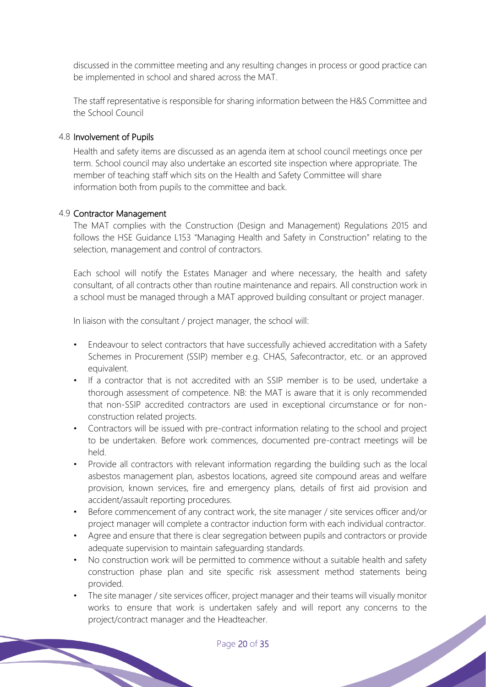discussed in the committee meeting and any resulting changes in process or good practice can be implemented in school and shared across the MAT.

The staff representative is responsible for sharing information between the H&S Committee and the School Council

#### 4.8 Involvement of Pupils

Health and safety items are discussed as an agenda item at school council meetings once per term. School council may also undertake an escorted site inspection where appropriate. The member of teaching staff which sits on the Health and Safety Committee will share information both from pupils to the committee and back.

#### 4.9 Contractor Management

The MAT complies with the Construction (Design and Management) Regulations 2015 and follows the HSE Guidance L153 "Managing Health and Safety in Construction" relating to the selection, management and control of contractors.

Each school will notify the Estates Manager and where necessary, the health and safety consultant, of all contracts other than routine maintenance and repairs. All construction work in a school must be managed through a MAT approved building consultant or project manager.

In liaison with the consultant / project manager, the school will:

- Endeavour to select contractors that have successfully achieved accreditation with a Safety Schemes in Procurement (SSIP) member e.g. CHAS, Safecontractor, etc. or an approved equivalent.
- If a contractor that is not accredited with an SSIP member is to be used, undertake a thorough assessment of competence. NB: the MAT is aware that it is only recommended that non-SSIP accredited contractors are used in exceptional circumstance or for nonconstruction related projects.
- Contractors will be issued with pre-contract information relating to the school and project to be undertaken. Before work commences, documented pre-contract meetings will be held.
- Provide all contractors with relevant information regarding the building such as the local asbestos management plan, asbestos locations, agreed site compound areas and welfare provision, known services, fire and emergency plans, details of first aid provision and accident/assault reporting procedures.
- Before commencement of any contract work, the site manager / site services officer and/or project manager will complete a contractor induction form with each individual contractor.
- Agree and ensure that there is clear segregation between pupils and contractors or provide adequate supervision to maintain safeguarding standards.
- No construction work will be permitted to commence without a suitable health and safety construction phase plan and site specific risk assessment method statements being provided.
- The site manager / site services officer, project manager and their teams will visually monitor works to ensure that work is undertaken safely and will report any concerns to the project/contract manager and the Headteacher.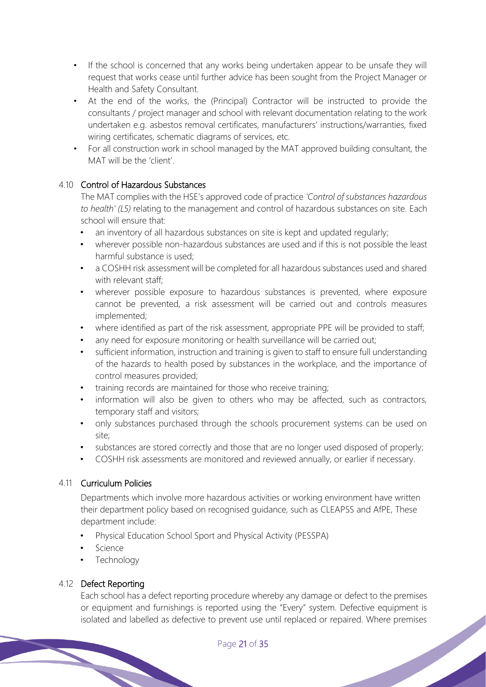- If the school is concerned that any works being undertaken appear to be unsafe they will request that works cease until further advice has been sought from the Project Manager or Health and Safety Consultant.
- At the end of the works, the (Principal) Contractor will be instructed to provide the consultants / project manager and school with relevant documentation relating to the work undertaken e.g. asbestos removal certificates, manufacturers' instructions/warranties, fixed wiring certificates, schematic diagrams of services, etc.
- For all construction work in school managed by the MAT approved building consultant, the MAT will be the 'client'.

# 4.10 Control of Hazardous Substances

The MAT complies with the HSE's approved code of practice *'Control of substances hazardous to health' (L5)* relating to the management and control of hazardous substances on site. Each school will ensure that:

- an inventory of all hazardous substances on site is kept and updated regularly;
- wherever possible non-hazardous substances are used and if this is not possible the least harmful substance is used;
- a COSHH risk assessment will be completed for all hazardous substances used and shared with relevant staff;
- wherever possible exposure to hazardous substances is prevented, where exposure cannot be prevented, a risk assessment will be carried out and controls measures implemented;
- where identified as part of the risk assessment, appropriate PPE will be provided to staff;
- any need for exposure monitoring or health surveillance will be carried out;
- sufficient information, instruction and training is given to staff to ensure full understanding of the hazards to health posed by substances in the workplace, and the importance of control measures provided;
- training records are maintained for those who receive training;
- information will also be given to others who may be affected, such as contractors, temporary staff and visitors;
- only substances purchased through the schools procurement systems can be used on site;
- substances are stored correctly and those that are no longer used disposed of properly;
- COSHH risk assessments are monitored and reviewed annually, or earlier if necessary.

# 4.11 Curriculum Policies

Departments which involve more hazardous activities or working environment have written their department policy based on recognised guidance, such as CLEAPSS and AfPE, These department include:

- Physical Education School Sport and Physical Activity (PESSPA)
- **Science**
- Technology

# 4.12 Defect Reporting

Each school has a defect reporting procedure whereby any damage or defect to the premises or equipment and furnishings is reported using the "Every" system. Defective equipment is isolated and labelled as defective to prevent use until replaced or repaired. Where premises<br>Page 21 of 35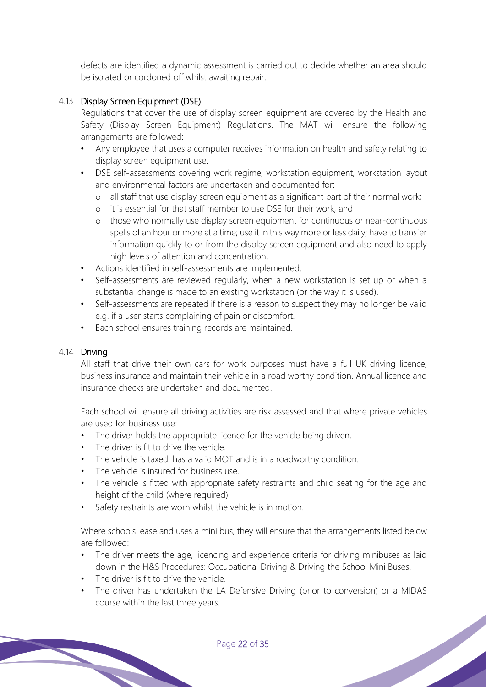defects are identified a dynamic assessment is carried out to decide whether an area should be isolated or cordoned off whilst awaiting repair.

# 4.13 Display Screen Equipment (DSE)

Regulations that cover the use of display screen equipment are covered by the Health and Safety (Display Screen Equipment) Regulations. The MAT will ensure the following arrangements are followed:

- Any employee that uses a computer receives information on health and safety relating to display screen equipment use.
- DSE self-assessments covering work regime, workstation equipment, workstation layout and environmental factors are undertaken and documented for:
	- o all staff that use display screen equipment as a significant part of their normal work;
	- o it is essential for that staff member to use DSE for their work, and
	- o those who normally use display screen equipment for continuous or near-continuous spells of an hour or more at a time; use it in this way more or less daily; have to transfer information quickly to or from the display screen equipment and also need to apply high levels of attention and concentration.
- Actions identified in self-assessments are implemented.
- Self-assessments are reviewed regularly, when a new workstation is set up or when a substantial change is made to an existing workstation (or the way it is used).
- Self-assessments are repeated if there is a reason to suspect they may no longer be valid e.g. if a user starts complaining of pain or discomfort.
- Each school ensures training records are maintained.

# 4.14 Driving

All staff that drive their own cars for work purposes must have a full UK driving licence, business insurance and maintain their vehicle in a road worthy condition. Annual licence and insurance checks are undertaken and documented.

Each school will ensure all driving activities are risk assessed and that where private vehicles are used for business use:

- The driver holds the appropriate licence for the vehicle being driven.
- The driver is fit to drive the vehicle.
- The vehicle is taxed, has a valid MOT and is in a roadworthy condition.
- The vehicle is insured for business use.
- The vehicle is fitted with appropriate safety restraints and child seating for the age and height of the child (where required).
- Safety restraints are worn whilst the vehicle is in motion.

Where schools lease and uses a mini bus, they will ensure that the arrangements listed below are followed:

- The driver meets the age, licencing and experience criteria for driving minibuses as laid down in the H&S Procedures: Occupational Driving & Driving the School Mini Buses.
- The driver is fit to drive the vehicle.
- The driver has undertaken the LA Defensive Driving (prior to conversion) or a MIDAS course within the last three years.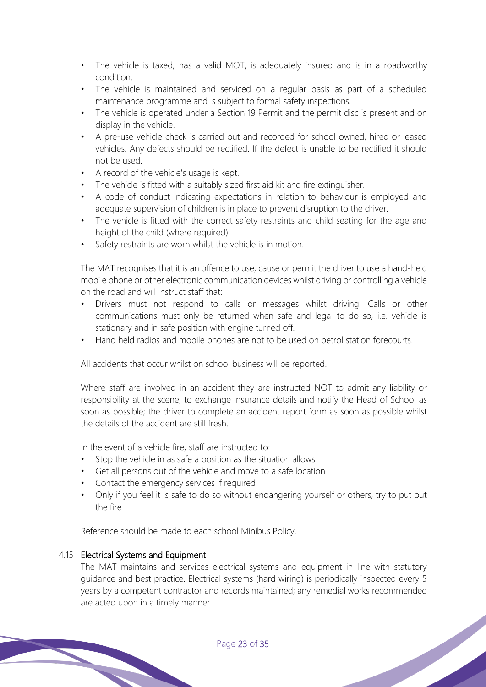- The vehicle is taxed, has a valid MOT, is adequately insured and is in a roadworthy condition.
- The vehicle is maintained and serviced on a regular basis as part of a scheduled maintenance programme and is subject to formal safety inspections.
- The vehicle is operated under a Section 19 Permit and the permit disc is present and on display in the vehicle.
- A pre-use vehicle check is carried out and recorded for school owned, hired or leased vehicles. Any defects should be rectified. If the defect is unable to be rectified it should not be used.
- A record of the vehicle's usage is kept.
- The vehicle is fitted with a suitably sized first aid kit and fire extinguisher.
- A code of conduct indicating expectations in relation to behaviour is employed and adequate supervision of children is in place to prevent disruption to the driver.
- The vehicle is fitted with the correct safety restraints and child seating for the age and height of the child (where required).
- Safety restraints are worn whilst the vehicle is in motion.

The MAT recognises that it is an offence to use, cause or permit the driver to use a hand-held mobile phone or other electronic communication devices whilst driving or controlling a vehicle on the road and will instruct staff that:

- Drivers must not respond to calls or messages whilst driving. Calls or other communications must only be returned when safe and legal to do so, i.e. vehicle is stationary and in safe position with engine turned off.
- Hand held radios and mobile phones are not to be used on petrol station forecourts.

All accidents that occur whilst on school business will be reported.

Where staff are involved in an accident they are instructed NOT to admit any liability or responsibility at the scene; to exchange insurance details and notify the Head of School as soon as possible; the driver to complete an accident report form as soon as possible whilst the details of the accident are still fresh.

In the event of a vehicle fire, staff are instructed to:

- Stop the vehicle in as safe a position as the situation allows
- Get all persons out of the vehicle and move to a safe location
- Contact the emergency services if required
- Only if you feel it is safe to do so without endangering yourself or others, try to put out the fire

Reference should be made to each school Minibus Policy.

# 4.15 Electrical Systems and Equipment

The MAT maintains and services electrical systems and equipment in line with statutory guidance and best practice. Electrical systems (hard wiring) is periodically inspected every 5 years by a competent contractor and records maintained; any remedial works recommended are acted upon in a timely manner.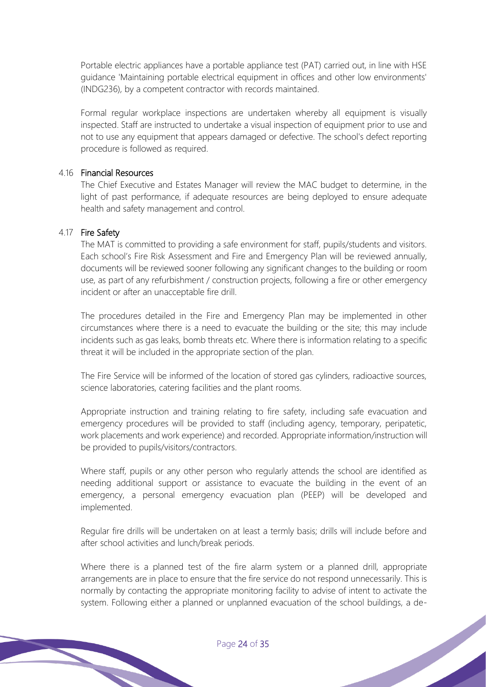Portable electric appliances have a portable appliance test (PAT) carried out, in line with HSE guidance 'Maintaining portable electrical equipment in offices and other low environments' (INDG236), by a competent contractor with records maintained.

Formal regular workplace inspections are undertaken whereby all equipment is visually inspected. Staff are instructed to undertake a visual inspection of equipment prior to use and not to use any equipment that appears damaged or defective. The school's defect reporting procedure is followed as required.

#### 4.16 Financial Resources

The Chief Executive and Estates Manager will review the MAC budget to determine, in the light of past performance, if adequate resources are being deployed to ensure adequate health and safety management and control.

#### 4.17 Fire Safety

The MAT is committed to providing a safe environment for staff, pupils/students and visitors. Each school's Fire Risk Assessment and Fire and Emergency Plan will be reviewed annually, documents will be reviewed sooner following any significant changes to the building or room use, as part of any refurbishment / construction projects, following a fire or other emergency incident or after an unacceptable fire drill.

The procedures detailed in the Fire and Emergency Plan may be implemented in other circumstances where there is a need to evacuate the building or the site; this may include incidents such as gas leaks, bomb threats etc. Where there is information relating to a specific threat it will be included in the appropriate section of the plan.

The Fire Service will be informed of the location of stored gas cylinders, radioactive sources, science laboratories, catering facilities and the plant rooms.

Appropriate instruction and training relating to fire safety, including safe evacuation and emergency procedures will be provided to staff (including agency, temporary, peripatetic, work placements and work experience) and recorded. Appropriate information/instruction will be provided to pupils/visitors/contractors.

Where staff, pupils or any other person who regularly attends the school are identified as needing additional support or assistance to evacuate the building in the event of an emergency, a personal emergency evacuation plan (PEEP) will be developed and implemented.

Regular fire drills will be undertaken on at least a termly basis; drills will include before and after school activities and lunch/break periods.

Where there is a planned test of the fire alarm system or a planned drill, appropriate arrangements are in place to ensure that the fire service do not respond unnecessarily. This is normally by contacting the appropriate monitoring facility to advise of intent to activate the system. Following either a planned or unplanned evacuation of the school buildings, a de-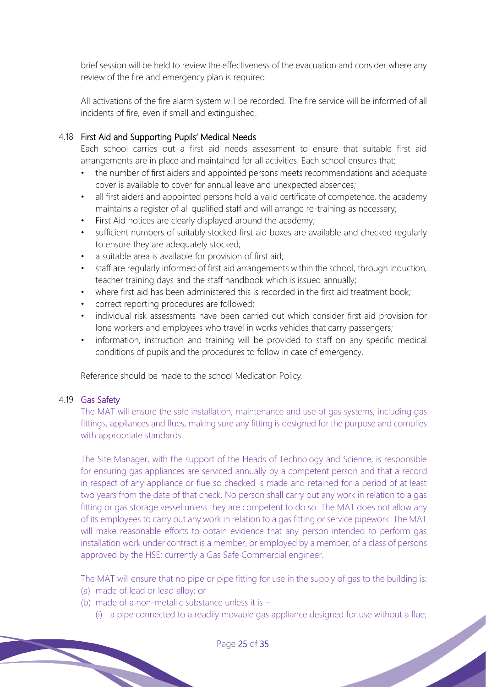brief session will be held to review the effectiveness of the evacuation and consider where any review of the fire and emergency plan is required.

All activations of the fire alarm system will be recorded. The fire service will be informed of all incidents of fire, even if small and extinguished.

# 4.18 First Aid and Supporting Pupils' Medical Needs

Each school carries out a first aid needs assessment to ensure that suitable first aid arrangements are in place and maintained for all activities. Each school ensures that:

- the number of first aiders and appointed persons meets recommendations and adequate cover is available to cover for annual leave and unexpected absences;
- all first aiders and appointed persons hold a valid certificate of competence, the academy maintains a register of all qualified staff and will arrange re-training as necessary;
- First Aid notices are clearly displayed around the academy;
- sufficient numbers of suitably stocked first aid boxes are available and checked regularly to ensure they are adequately stocked;
- a suitable area is available for provision of first aid;
- staff are regularly informed of first aid arrangements within the school, through induction, teacher training days and the staff handbook which is issued annually;
- where first aid has been administered this is recorded in the first aid treatment book;
- correct reporting procedures are followed;
- individual risk assessments have been carried out which consider first aid provision for lone workers and employees who travel in works vehicles that carry passengers;
- information, instruction and training will be provided to staff on any specific medical conditions of pupils and the procedures to follow in case of emergency.

Reference should be made to the school Medication Policy.

# 4.19 Gas Safety

The MAT will ensure the safe installation, maintenance and use of gas systems, including gas fittings, appliances and flues, making sure any fitting is designed for the purpose and complies with appropriate standards.

The Site Manager, with the support of the Heads of Technology and Science, is responsible for ensuring gas appliances are serviced annually by a competent person and that a record in respect of any appliance or flue so checked is made and retained for a period of at least two years from the date of that check. No person shall carry out any work in relation to a gas fitting or gas storage vessel unless they are competent to do so. The MAT does not allow any of its employees to carry out any work in relation to a gas fitting or service pipework. The MAT will make reasonable efforts to obtain evidence that any person intended to perform gas installation work under contract is a member, or employed by a member, of a class of persons approved by the HSE; currently a Gas Safe Commercial engineer.

The MAT will ensure that no pipe or pipe fitting for use in the supply of gas to the building is:

- (a) made of lead or lead alloy; or
- (b) made of a non-metallic substance unless it is  $-$ 
	- (i) a pipe connected to a readily movable gas appliance designed for use without a flue;<br>Page 25 of 35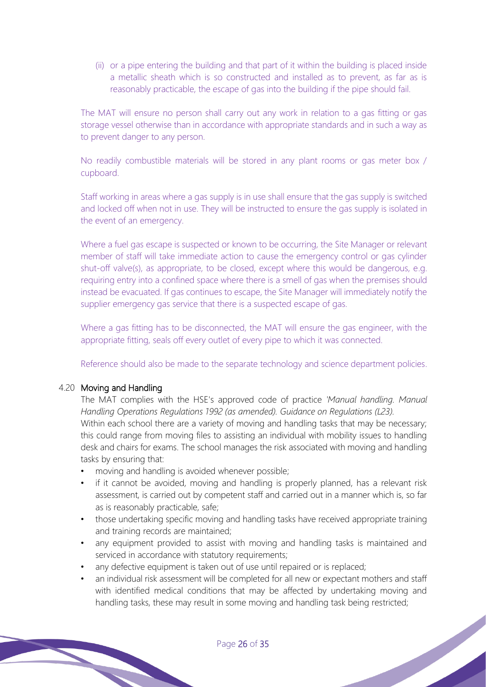(ii) or a pipe entering the building and that part of it within the building is placed inside a metallic sheath which is so constructed and installed as to prevent, as far as is reasonably practicable, the escape of gas into the building if the pipe should fail.

The MAT will ensure no person shall carry out any work in relation to a gas fitting or gas storage vessel otherwise than in accordance with appropriate standards and in such a way as to prevent danger to any person.

No readily combustible materials will be stored in any plant rooms or gas meter box / cupboard.

Staff working in areas where a gas supply is in use shall ensure that the gas supply is switched and locked off when not in use. They will be instructed to ensure the gas supply is isolated in the event of an emergency.

Where a fuel gas escape is suspected or known to be occurring, the Site Manager or relevant member of staff will take immediate action to cause the emergency control or gas cylinder shut-off valve(s), as appropriate, to be closed, except where this would be dangerous, e.g. requiring entry into a confined space where there is a smell of gas when the premises should instead be evacuated. If gas continues to escape, the Site Manager will immediately notify the supplier emergency gas service that there is a suspected escape of gas.

Where a gas fitting has to be disconnected, the MAT will ensure the gas engineer, with the appropriate fitting, seals off every outlet of every pipe to which it was connected.

Reference should also be made to the separate technology and science department policies.

#### 4.20 Moving and Handling

The MAT complies with the HSE's approved code of practice *'Manual handling. Manual Handling Operations Regulations 1992 (as amended). Guidance on Regulations (L23).* 

Within each school there are a variety of moving and handling tasks that may be necessary; this could range from moving files to assisting an individual with mobility issues to handling desk and chairs for exams. The school manages the risk associated with moving and handling tasks by ensuring that:

- moving and handling is avoided whenever possible;
- if it cannot be avoided, moving and handling is properly planned, has a relevant risk assessment, is carried out by competent staff and carried out in a manner which is, so far as is reasonably practicable, safe;
- those undertaking specific moving and handling tasks have received appropriate training and training records are maintained;
- any equipment provided to assist with moving and handling tasks is maintained and serviced in accordance with statutory requirements;
- any defective equipment is taken out of use until repaired or is replaced;
- an individual risk assessment will be completed for all new or expectant mothers and staff with identified medical conditions that may be affected by undertaking moving and handling tasks, these may result in some moving and handling task being restricted;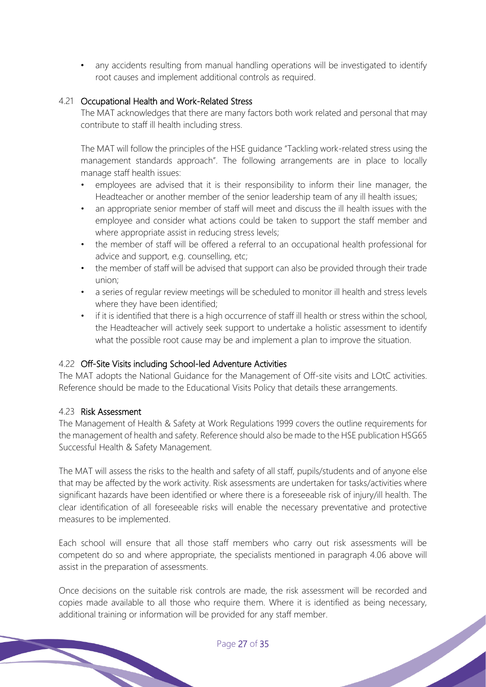any accidents resulting from manual handling operations will be investigated to identify root causes and implement additional controls as required.

# 4.21 Occupational Health and Work-Related Stress

The MAT acknowledges that there are many factors both work related and personal that may contribute to staff ill health including stress.

The MAT will follow the principles of the HSE guidance "Tackling work-related stress using the management standards approach". The following arrangements are in place to locally manage staff health issues:

- employees are advised that it is their responsibility to inform their line manager, the Headteacher or another member of the senior leadership team of any ill health issues;
- an appropriate senior member of staff will meet and discuss the ill health issues with the employee and consider what actions could be taken to support the staff member and where appropriate assist in reducing stress levels;
- the member of staff will be offered a referral to an occupational health professional for advice and support, e.g. counselling, etc;
- the member of staff will be advised that support can also be provided through their trade union;
- a series of regular review meetings will be scheduled to monitor ill health and stress levels where they have been identified;
- if it is identified that there is a high occurrence of staff ill health or stress within the school, the Headteacher will actively seek support to undertake a holistic assessment to identify what the possible root cause may be and implement a plan to improve the situation.

# 4.22 Off-Site Visits including School-led Adventure Activities

The MAT adopts the National Guidance for the Management of Off-site visits and LOtC activities. Reference should be made to the Educational Visits Policy that details these arrangements.

# 4.23 Risk Assessment

The Management of Health & Safety at Work Regulations 1999 covers the outline requirements for the management of health and safety. Reference should also be made to the HSE publication HSG65 Successful Health & Safety Management.

The MAT will assess the risks to the health and safety of all staff, pupils/students and of anyone else that may be affected by the work activity. Risk assessments are undertaken for tasks/activities where significant hazards have been identified or where there is a foreseeable risk of injury/ill health. The clear identification of all foreseeable risks will enable the necessary preventative and protective measures to be implemented.

Each school will ensure that all those staff members who carry out risk assessments will be competent do so and where appropriate, the specialists mentioned in paragraph 4.06 above will assist in the preparation of assessments.

Once decisions on the suitable risk controls are made, the risk assessment will be recorded and copies made available to all those who require them. Where it is identified as being necessary, additional training or information will be provided for any staff member.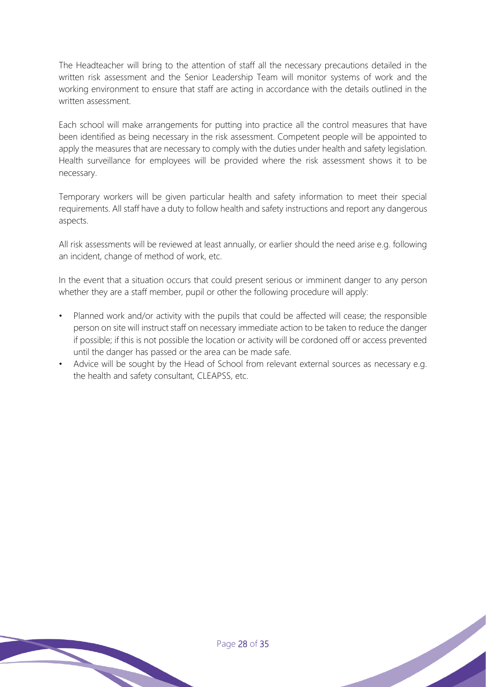The Headteacher will bring to the attention of staff all the necessary precautions detailed in the written risk assessment and the Senior Leadership Team will monitor systems of work and the working environment to ensure that staff are acting in accordance with the details outlined in the written assessment.

Each school will make arrangements for putting into practice all the control measures that have been identified as being necessary in the risk assessment. Competent people will be appointed to apply the measures that are necessary to comply with the duties under health and safety legislation. Health surveillance for employees will be provided where the risk assessment shows it to be necessary.

Temporary workers will be given particular health and safety information to meet their special requirements. All staff have a duty to follow health and safety instructions and report any dangerous aspects.

All risk assessments will be reviewed at least annually, or earlier should the need arise e.g. following an incident, change of method of work, etc.

In the event that a situation occurs that could present serious or imminent danger to any person whether they are a staff member, pupil or other the following procedure will apply:

- Planned work and/or activity with the pupils that could be affected will cease; the responsible person on site will instruct staff on necessary immediate action to be taken to reduce the danger if possible; if this is not possible the location or activity will be cordoned off or access prevented until the danger has passed or the area can be made safe.
- Advice will be sought by the Head of School from relevant external sources as necessary e.g. the health and safety consultant, CLEAPSS, etc.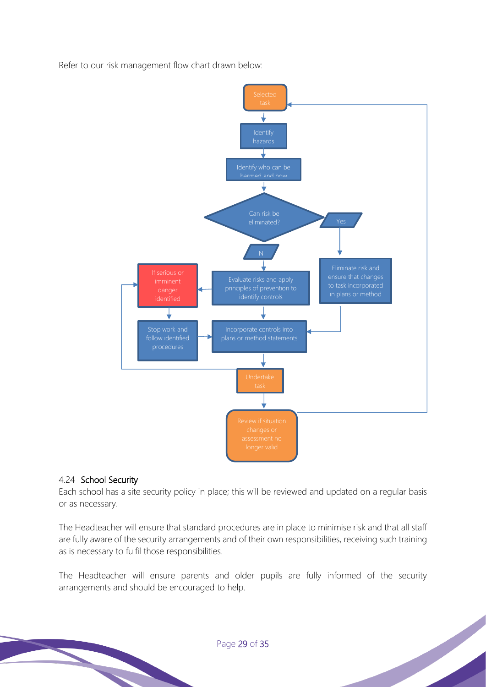Refer to our risk management flow chart drawn below:



#### 4.24 School Security

Each school has a site security policy in place; this will be reviewed and updated on a regular basis or as necessary.

The Headteacher will ensure that standard procedures are in place to minimise risk and that all staff are fully aware of the security arrangements and of their own responsibilities, receiving such training as is necessary to fulfil those responsibilities.

The Headteacher will ensure parents and older pupils are fully informed of the security arrangements and should be encouraged to help.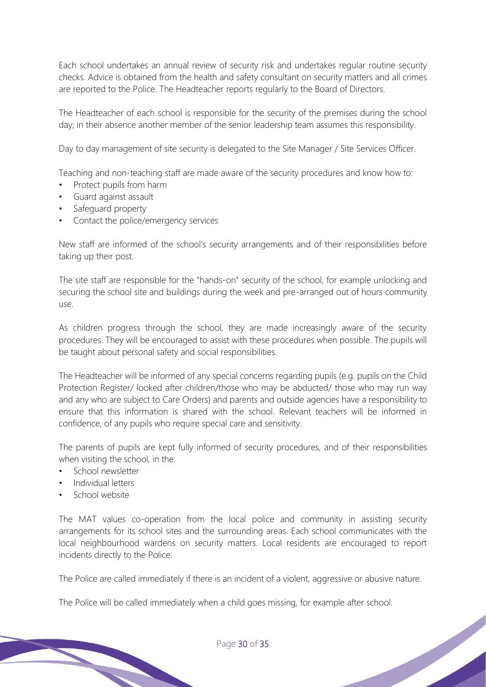Each school undertakes an annual review of security risk and undertakes regular routine security checks. Advice is obtained from the health and safety consultant on security matters and all crimes are reported to the Police. The Headteacher reports regularly to the Board of Directors.

The Headteacher of each school is responsible for the security of the premises during the school day; in their absence another member of the senior leadership team assumes this responsibility.

Day to day management of site security is delegated to the Site Manager / Site Services Officer.

Teaching and non-teaching staff are made aware of the security procedures and know how to:

- Protect pupils from harm
- Guard against assault
- Safeguard property
- Contact the police/emergency services

New staff are informed of the school's security arrangements and of their responsibilities before taking up their post.

The site staff are responsible for the "hands-on" security of the school, for example unlocking and securing the school site and buildings during the week and pre-arranged out of hours community use.

As children progress through the school, they are made increasingly aware of the security procedures. They will be encouraged to assist with these procedures when possible. The pupils will be taught about personal safety and social responsibilities.

The Headteacher will be informed of any special concerns regarding pupils (e.g. pupils on the Child Protection Register/ looked after children/those who may be abducted/ those who may run way and any who are subject to Care Orders) and parents and outside agencies have a responsibility to ensure that this information is shared with the school. Relevant teachers will be informed in confidence, of any pupils who require special care and sensitivity.

The parents of pupils are kept fully informed of security procedures, and of their responsibilities when visiting the school, in the:

- School newsletter
- Individual letters
- School website

The MAT values co-operation from the local police and community in assisting security arrangements for its school sites and the surrounding areas. Each school communicates with the local neighbourhood wardens on security matters. Local residents are encouraged to report incidents directly to the Police.

The Police are called immediately if there is an incident of a violent, aggressive or abusive nature.

The Police will be called immediately when a child goes missing, for example after school.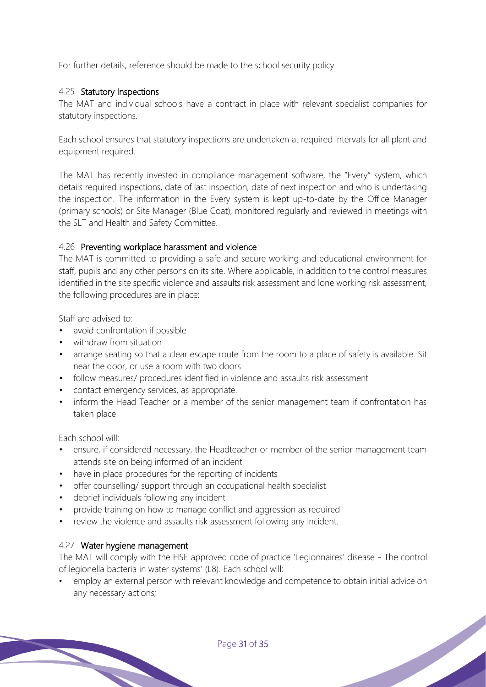For further details, reference should be made to the school security policy.

# 4.25 Statutory Inspections

The MAT and individual schools have a contract in place with relevant specialist companies for statutory inspections.

Each school ensures that statutory inspections are undertaken at required intervals for all plant and equipment required.

The MAT has recently invested in compliance management software, the "Every" system, which details required inspections, date of last inspection, date of next inspection and who is undertaking the inspection. The information in the Every system is kept up-to-date by the Office Manager (primary schools) or Site Manager (Blue Coat), monitored regularly and reviewed in meetings with the SLT and Health and Safety Committee.

# 4.26 Preventing workplace harassment and violence

The MAT is committed to providing a safe and secure working and educational environment for staff, pupils and any other persons on its site. Where applicable, in addition to the control measures identified in the site specific violence and assaults risk assessment and lone working risk assessment, the following procedures are in place:

Staff are advised to:

- avoid confrontation if possible
- withdraw from situation
- arrange seating so that a clear escape route from the room to a place of safety is available. Sit near the door, or use a room with two doors
- follow measures/ procedures identified in violence and assaults risk assessment
- contact emergency services, as appropriate.
- inform the Head Teacher or a member of the senior management team if confrontation has taken place

Each school will:

- ensure, if considered necessary, the Headteacher or member of the senior management team attends site on being informed of an incident
- have in place procedures for the reporting of incidents
- offer counselling/ support through an occupational health specialist
- debrief individuals following any incident
- provide training on how to manage conflict and aggression as required
- review the violence and assaults risk assessment following any incident.

# 4.27 Water hygiene management

The MAT will comply with the HSE approved code of practice 'Legionnaires' disease - The control of legionella bacteria in water systems' (L8). Each school will:

• employ an external person with relevant knowledge and competence to obtain initial advice on any necessary actions;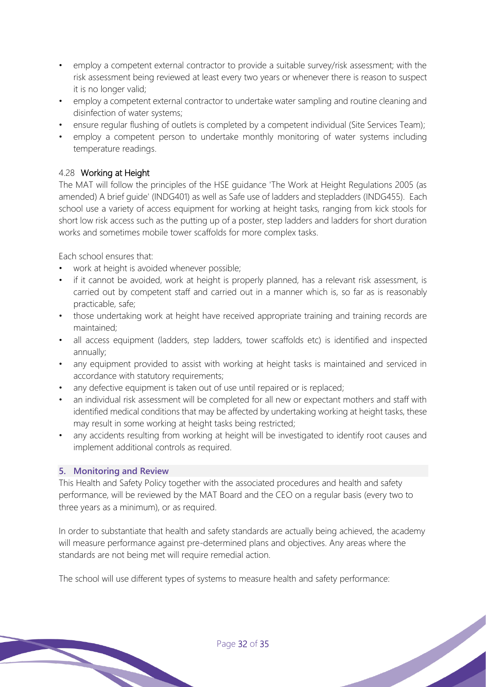- employ a competent external contractor to provide a suitable survey/risk assessment; with the risk assessment being reviewed at least every two years or whenever there is reason to suspect it is no longer valid;
- employ a competent external contractor to undertake water sampling and routine cleaning and disinfection of water systems;
- ensure regular flushing of outlets is completed by a competent individual (Site Services Team);
- employ a competent person to undertake monthly monitoring of water systems including temperature readings.

# 4.28 Working at Height

The MAT will follow the principles of the HSE guidance 'The Work at Height Regulations 2005 (as amended) A brief guide' (INDG401) as well as Safe use of ladders and stepladders (INDG455). Each school use a variety of access equipment for working at height tasks, ranging from kick stools for short low risk access such as the putting up of a poster, step ladders and ladders for short duration works and sometimes mobile tower scaffolds for more complex tasks.

Each school ensures that:

- work at height is avoided whenever possible;
- if it cannot be avoided, work at height is properly planned, has a relevant risk assessment, is carried out by competent staff and carried out in a manner which is, so far as is reasonably practicable, safe;
- those undertaking work at height have received appropriate training and training records are maintained;
- all access equipment (ladders, step ladders, tower scaffolds etc) is identified and inspected annually;
- any equipment provided to assist with working at height tasks is maintained and serviced in accordance with statutory requirements;
- any defective equipment is taken out of use until repaired or is replaced;
- an individual risk assessment will be completed for all new or expectant mothers and staff with identified medical conditions that may be affected by undertaking working at height tasks, these may result in some working at height tasks being restricted;
- any accidents resulting from working at height will be investigated to identify root causes and implement additional controls as required.

# **5. Monitoring and Review**

This Health and Safety Policy together with the associated procedures and health and safety performance, will be reviewed by the MAT Board and the CEO on a regular basis (every two to three years as a minimum), or as required.

In order to substantiate that health and safety standards are actually being achieved, the academy will measure performance against pre-determined plans and objectives. Any areas where the standards are not being met will require remedial action.

The school will use different types of systems to measure health and safety performance: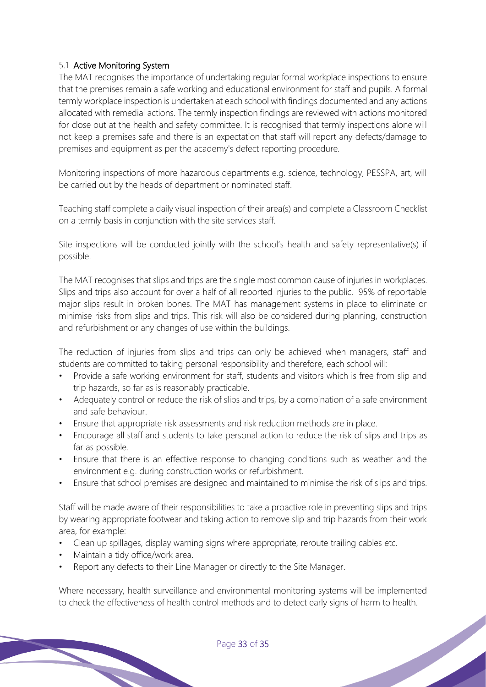# 5.1 Active Monitoring System

The MAT recognises the importance of undertaking regular formal workplace inspections to ensure that the premises remain a safe working and educational environment for staff and pupils. A formal termly workplace inspection is undertaken at each school with findings documented and any actions allocated with remedial actions. The termly inspection findings are reviewed with actions monitored for close out at the health and safety committee. It is recognised that termly inspections alone will not keep a premises safe and there is an expectation that staff will report any defects/damage to premises and equipment as per the academy's defect reporting procedure.

Monitoring inspections of more hazardous departments e.g. science, technology, PESSPA, art, will be carried out by the heads of department or nominated staff.

Teaching staff complete a daily visual inspection of their area(s) and complete a Classroom Checklist on a termly basis in conjunction with the site services staff.

Site inspections will be conducted jointly with the school's health and safety representative(s) if possible.

The MAT recognises that slips and trips are the single most common cause of injuries in workplaces. Slips and trips also account for over a half of all reported injuries to the public. 95% of reportable major slips result in broken bones. The MAT has management systems in place to eliminate or minimise risks from slips and trips. This risk will also be considered during planning, construction and refurbishment or any changes of use within the buildings.

The reduction of injuries from slips and trips can only be achieved when managers, staff and students are committed to taking personal responsibility and therefore, each school will:

- Provide a safe working environment for staff, students and visitors which is free from slip and trip hazards, so far as is reasonably practicable.
- Adequately control or reduce the risk of slips and trips, by a combination of a safe environment and safe behaviour.
- Ensure that appropriate risk assessments and risk reduction methods are in place.
- Encourage all staff and students to take personal action to reduce the risk of slips and trips as far as possible.
- Ensure that there is an effective response to changing conditions such as weather and the environment e.g. during construction works or refurbishment.
- Ensure that school premises are designed and maintained to minimise the risk of slips and trips.

Staff will be made aware of their responsibilities to take a proactive role in preventing slips and trips by wearing appropriate footwear and taking action to remove slip and trip hazards from their work area, for example:

- Clean up spillages, display warning signs where appropriate, reroute trailing cables etc.
- Maintain a tidy office/work area.
- Report any defects to their Line Manager or directly to the Site Manager.

Where necessary, health surveillance and environmental monitoring systems will be implemented to check the effectiveness of health control methods and to detect early signs of harm to health.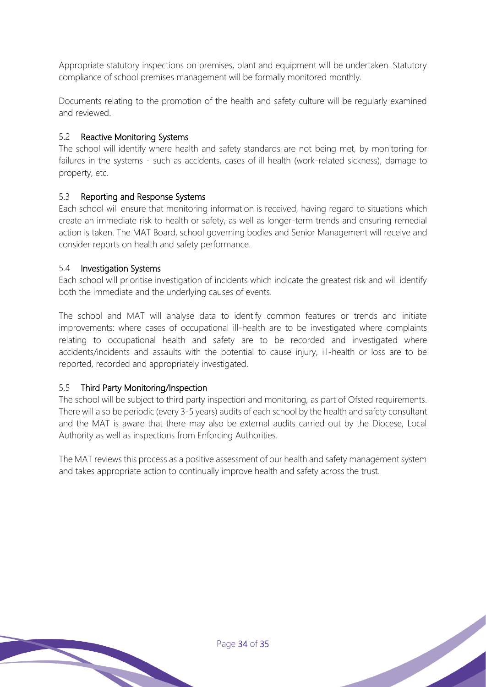Appropriate statutory inspections on premises, plant and equipment will be undertaken. Statutory compliance of school premises management will be formally monitored monthly.

Documents relating to the promotion of the health and safety culture will be regularly examined and reviewed.

# 5.2 Reactive Monitoring Systems

The school will identify where health and safety standards are not being met, by monitoring for failures in the systems - such as accidents, cases of ill health (work-related sickness), damage to property, etc.

# 5.3 Reporting and Response Systems

Each school will ensure that monitoring information is received, having regard to situations which create an immediate risk to health or safety, as well as longer-term trends and ensuring remedial action is taken. The MAT Board, school governing bodies and Senior Management will receive and consider reports on health and safety performance.

# 5.4 Investigation Systems

Each school will prioritise investigation of incidents which indicate the greatest risk and will identify both the immediate and the underlying causes of events.

The school and MAT will analyse data to identify common features or trends and initiate improvements: where cases of occupational ill-health are to be investigated where complaints relating to occupational health and safety are to be recorded and investigated where accidents/incidents and assaults with the potential to cause injury, ill-health or loss are to be reported, recorded and appropriately investigated.

# 5.5 Third Party Monitoring/Inspection

The school will be subject to third party inspection and monitoring, as part of Ofsted requirements. There will also be periodic (every 3-5 years) audits of each school by the health and safety consultant and the MAT is aware that there may also be external audits carried out by the Diocese, Local Authority as well as inspections from Enforcing Authorities.

The MAT reviews this process as a positive assessment of our health and safety management system and takes appropriate action to continually improve health and safety across the trust.